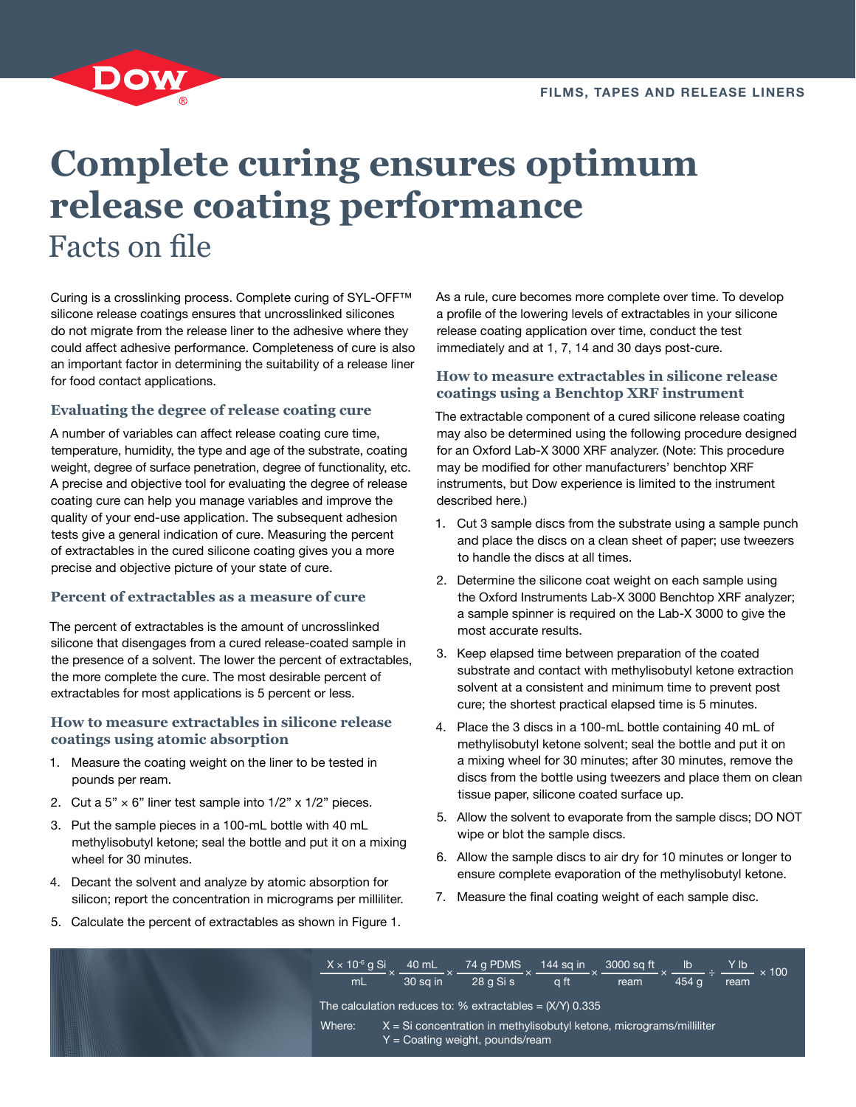

# **Complete curing ensures optimum release coating performance** Facts on file

Curing is a crosslinking process. Complete curing of SYL-OFF™ silicone release coatings ensures that uncrosslinked silicones do not migrate from the release liner to the adhesive where they could affect adhesive performance. Completeness of cure is also an important factor in determining the suitability of a release liner for food contact applications.

## **Evaluating the degree of release coating cure**

A number of variables can affect release coating cure time, temperature, humidity, the type and age of the substrate, coating weight, degree of surface penetration, degree of functionality, etc. A precise and objective tool for evaluating the degree of release coating cure can help you manage variables and improve the quality of your end-use application. The subsequent adhesion tests give a general indication of cure. Measuring the percent of extractables in the cured silicone coating gives you a more precise and objective picture of your state of cure.

#### **Percent of extractables as a measure of cure**

The percent of extractables is the amount of uncrosslinked silicone that disengages from a cured release-coated sample in the presence of a solvent. The lower the percent of extractables, the more complete the cure. The most desirable percent of extractables for most applications is 5 percent or less.

#### **How to measure extractables in silicone release coatings using atomic absorption**

- 1. Measure the coating weight on the liner to be tested in pounds per ream.
- 2. Cut a  $5" \times 6"$  liner test sample into  $1/2" \times 1/2"$  pieces.
- 3. Put the sample pieces in a 100-mL bottle with 40 mL methylisobutyl ketone; seal the bottle and put it on a mixing wheel for 30 minutes.
- 4. Decant the solvent and analyze by atomic absorption for silicon; report the concentration in micrograms per milliliter.

As a rule, cure becomes more complete over time. To develop a profile of the lowering levels of extractables in your silicone release coating application over time, conduct the test immediately and at 1, 7, 14 and 30 days post-cure.

### **How to measure extractables in silicone release coatings using a Benchtop XRF instrument**

The extractable component of a cured silicone release coating may also be determined using the following procedure designed for an Oxford Lab-X 3000 XRF analyzer. (Note: This procedure may be modified for other manufacturers' benchtop XRF instruments, but Dow experience is limited to the instrument described here.)

- 1. Cut 3 sample discs from the substrate using a sample punch and place the discs on a clean sheet of paper; use tweezers to handle the discs at all times.
- 2. Determine the silicone coat weight on each sample using the Oxford Instruments Lab-X 3000 Benchtop XRF analyzer; a sample spinner is required on the Lab-X 3000 to give the most accurate results.
- 3. Keep elapsed time between preparation of the coated substrate and contact with methylisobutyl ketone extraction solvent at a consistent and minimum time to prevent post cure; the shortest practical elapsed time is 5 minutes.
- 4. Place the 3 discs in a 100-mL bottle containing 40 mL of methylisobutyl ketone solvent; seal the bottle and put it on a mixing wheel for 30 minutes; after 30 minutes, remove the discs from the bottle using tweezers and place them on clean tissue paper, silicone coated surface up.
- 5. Allow the solvent to evaporate from the sample discs; DO NOT wipe or blot the sample discs.
- 6. Allow the sample discs to air dry for 10 minutes or longer to ensure complete evaporation of the methylisobutyl ketone.
- 7. Measure the final coating weight of each sample disc.
- 5. Calculate the percent of extractables as shown in Figure 1.

 $\frac{X \times 10^{-6} \text{g Si}}{\text{mL}} \times \frac{40 \text{ mL}}{30 \text{ sq in}} \times \frac{74 \text{ g PDMS}}{28 \text{ g Si s}} \times \frac{144 \text{ sq in}}{\text{q ft}} \times \frac{3000 \text{ sq ft}}{\text{ream}} \times \frac{16}{454 \text{ g}} \div \frac{Y \text{ lb}}{\text{ream}} \times 100$ The calculation reduces to:  $%$  extractables =  $(X/Y)$  0.335 Where:  $X = Si\,\text{concentration}$  in methylisobutyl ketone, micrograms/milliliter  $Y =$  Coating weight, pounds/ream